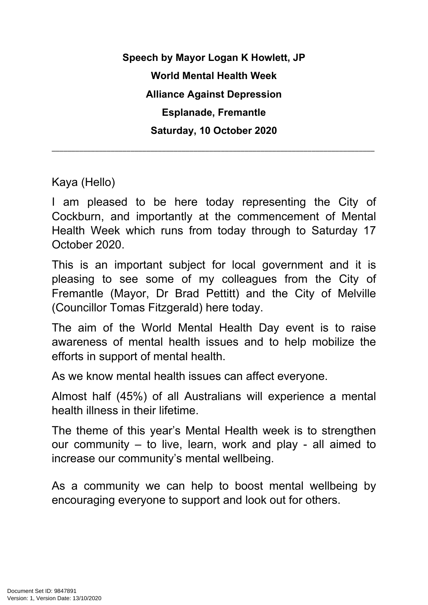**Speech by Mayor Logan K Howlett, JP World Mental Health Week Alliance Against Depression Esplanade, Fremantle Saturday, 10 October 2020**

\_\_\_\_\_\_\_\_\_\_\_\_\_\_\_\_\_\_\_\_\_\_\_\_\_\_\_\_\_\_\_\_\_\_\_\_\_\_\_\_\_\_\_\_\_\_\_\_\_\_\_\_\_\_\_\_\_\_\_\_\_\_\_\_\_\_\_\_\_\_\_\_\_\_\_\_\_\_\_\_\_\_

Kaya (Hello)

I am pleased to be here today representing the City of Cockburn, and importantly at the commencement of Mental Health Week which runs from today through to Saturday 17 October 2020.

This is an important subject for local government and it is pleasing to see some of my colleagues from the City of Fremantle (Mayor, Dr Brad Pettitt) and the City of Melville (Councillor Tomas Fitzgerald) here today.

The aim of the World Mental Health Day event is to raise awareness of mental health issues and to help mobilize the efforts in support of mental health.

As we know mental health issues can affect everyone.

Almost half (45%) of all Australians will experience a mental health illness in their lifetime.

The theme of this year's Mental Health week is to strengthen our community – to live, learn, work and play - all aimed to increase our community's mental wellbeing.

As a community we can help to boost mental wellbeing by encouraging everyone to support and look out for others.